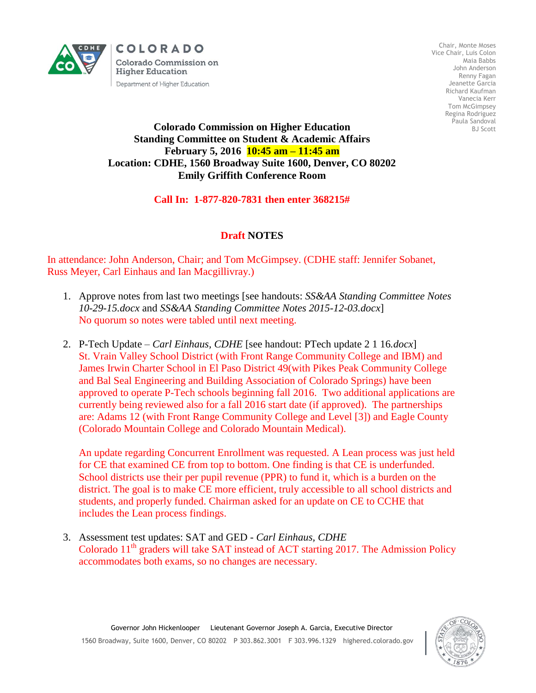

COLORADO **Colorado Commission on Higher Education** Department of Higher Education

Chair, Monte Moses Vice Chair, Luis Colon Maia Babbs John Anderson Renny Fagan Jeanette Garcia Richard Kaufman Vanecia Kerr Tom McGimpsey Regina Rodriguez Paula Sandoval BJ Scott

## **Colorado Commission on Higher Education Standing Committee on Student & Academic Affairs February 5, 2016 10:45 am – 11:45 am Location: CDHE, 1560 Broadway Suite 1600, Denver, CO 80202 Emily Griffith Conference Room**

## **Call In: 1-877-820-7831 then enter 368215#**

## **Draft NOTES**

In attendance: John Anderson, Chair; and Tom McGimpsey. (CDHE staff: Jennifer Sobanet, Russ Meyer, Carl Einhaus and Ian Macgillivray.)

- 1. Approve notes from last two meetings [see handouts: *SS&AA Standing Committee Notes 10-29-15.docx* and *SS&AA Standing Committee Notes 2015-12-03.docx*] No quorum so notes were tabled until next meeting.
- 2. P-Tech Update *Carl Einhaus, CDHE* [see handout: PTech update 2 1 16*.docx*] St. Vrain Valley School District (with Front Range Community College and IBM) and James Irwin Charter School in El Paso District 49(with Pikes Peak Community College and Bal Seal Engineering and Building Association of Colorado Springs) have been approved to operate P-Tech schools beginning fall 2016. Two additional applications are currently being reviewed also for a fall 2016 start date (if approved). The partnerships are: Adams 12 (with Front Range Community College and Level [3]) and Eagle County (Colorado Mountain College and Colorado Mountain Medical).

An update regarding Concurrent Enrollment was requested. A Lean process was just held for CE that examined CE from top to bottom. One finding is that CE is underfunded. School districts use their per pupil revenue (PPR) to fund it, which is a burden on the district. The goal is to make CE more efficient, truly accessible to all school districts and students, and properly funded. Chairman asked for an update on CE to CCHE that includes the Lean process findings.

3. Assessment test updates: SAT and GED - *Carl Einhaus, CDHE* Colorado  $11<sup>th</sup>$  graders will take SAT instead of ACT starting 2017. The Admission Policy accommodates both exams, so no changes are necessary.